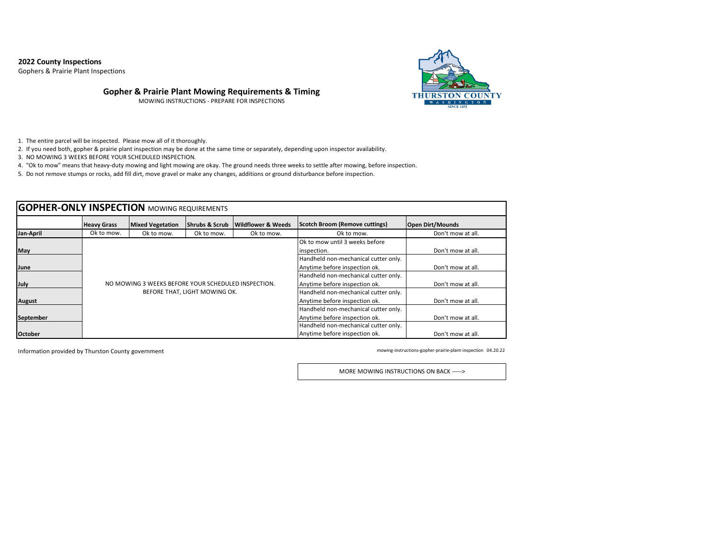## **2022 County Inspections**

Gophers & Prairie Plant Inspections



## **Gopher & Prairie Plant Mowing Requirements & Timing**

MOWING INSTRUCTIONS - PREPARE FOR INSPECTIONS

1. The entire parcel will be inspected. Please mow all of it thoroughly.

2. If you need both, gopher & prairie plant inspection may be done at the same time or separately, depending upon inspector availability.

3. NO MOWING 3 WEEKS BEFORE YOUR SCHEDULED INSPECTION.

4. "Ok to mow" means that heavy-duty mowing and light mowing are okay. The ground needs three weeks to settle after mowing, before inspection.

5. Do not remove stumps or rocks, add fill dirt, move gravel or make any changes, additions or ground disturbance before inspection.

| <b>GOPHER-ONLY INSPECTION MOWING REQUIREMENTS</b> |                    |                                                     |                               |                               |                                       |                         |  |  |
|---------------------------------------------------|--------------------|-----------------------------------------------------|-------------------------------|-------------------------------|---------------------------------------|-------------------------|--|--|
|                                                   | <b>Heavy Grass</b> | <b>Mixed Vegetation</b>                             | lShrubs & Scrub               | <b>Wildflower &amp; Weeds</b> | <b>Scotch Broom (Remove cuttings)</b> | <b>Open Dirt/Mounds</b> |  |  |
| Jan-April                                         | Ok to mow.         | Ok to mow.                                          | Ok to mow.                    | Ok to mow.                    | Ok to mow.                            | Don't mow at all.       |  |  |
|                                                   |                    |                                                     |                               |                               | Ok to mow until 3 weeks before        |                         |  |  |
| May                                               |                    |                                                     |                               |                               | inspection.                           | Don't mow at all.       |  |  |
|                                                   |                    |                                                     |                               |                               | Handheld non-mechanical cutter only.  |                         |  |  |
| June                                              |                    |                                                     |                               |                               | Anytime before inspection ok.         | Don't mow at all.       |  |  |
|                                                   |                    |                                                     |                               |                               | Handheld non-mechanical cutter only.  |                         |  |  |
| July                                              |                    | NO MOWING 3 WEEKS BEFORE YOUR SCHEDULED INSPECTION. |                               |                               | Anytime before inspection ok.         | Don't mow at all.       |  |  |
|                                                   |                    |                                                     | BEFORE THAT, LIGHT MOWING OK. |                               | Handheld non-mechanical cutter only.  |                         |  |  |
| <b>August</b>                                     |                    |                                                     |                               |                               | Anytime before inspection ok.         | Don't mow at all.       |  |  |
|                                                   |                    |                                                     |                               |                               | Handheld non-mechanical cutter only.  |                         |  |  |
| <b>September</b>                                  |                    |                                                     |                               |                               | Anytime before inspection ok.         | Don't mow at all.       |  |  |
|                                                   |                    |                                                     |                               |                               | Handheld non-mechanical cutter only.  |                         |  |  |
| <b>October</b>                                    |                    |                                                     |                               |                               | Anytime before inspection ok.         | Don't mow at all.       |  |  |

Information provided by Thurston County government

mowing-instructions-gopher-prairie-plant-inspection 04.20.22

MORE MOWING INSTRUCTIONS ON BACK ----->